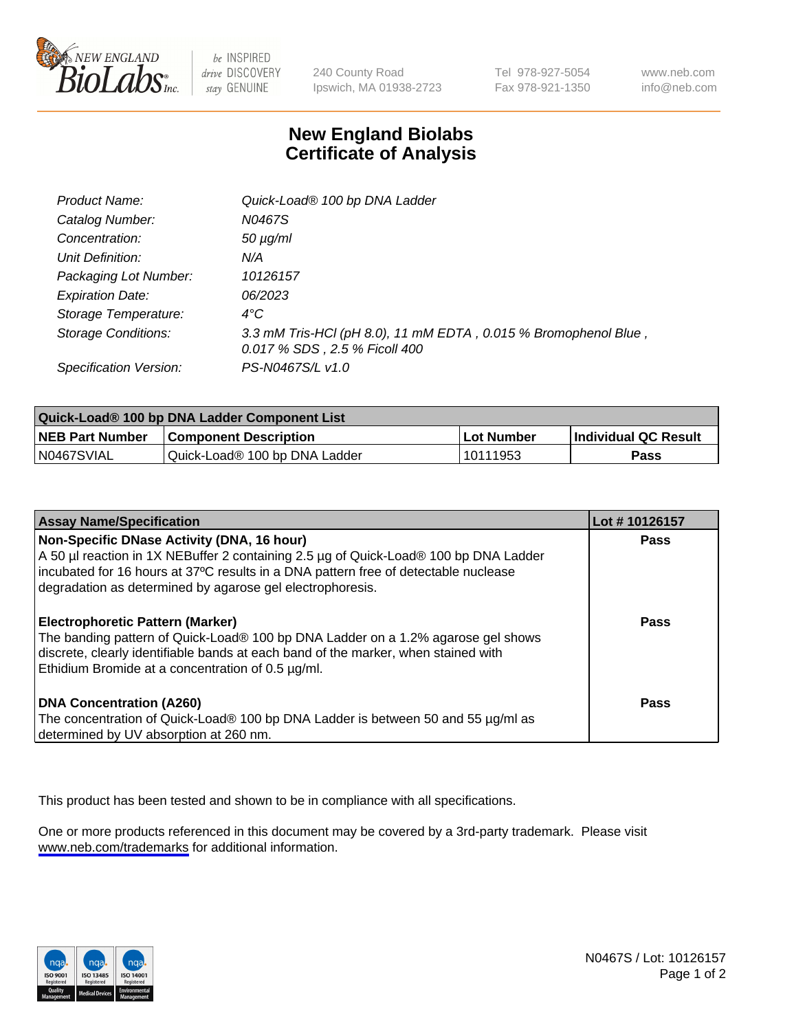

be INSPIRED drive DISCOVERY stay GENUINE

240 County Road Ipswich, MA 01938-2723 Tel 978-927-5054 Fax 978-921-1350

www.neb.com info@neb.com

## **New England Biolabs Certificate of Analysis**

| Product Name:              | Quick-Load® 100 bp DNA Ladder                                                                    |
|----------------------------|--------------------------------------------------------------------------------------------------|
| Catalog Number:            | N0467S                                                                                           |
| Concentration:             | $50 \mu g/ml$                                                                                    |
| Unit Definition:           | N/A                                                                                              |
| Packaging Lot Number:      | 10126157                                                                                         |
| <b>Expiration Date:</b>    | 06/2023                                                                                          |
| Storage Temperature:       | $4^{\circ}$ C                                                                                    |
| <b>Storage Conditions:</b> | 3.3 mM Tris-HCl (pH 8.0), 11 mM EDTA, 0.015 % Bromophenol Blue,<br>0.017 % SDS, 2.5 % Ficoll 400 |
| Specification Version:     | PS-N0467S/L v1.0                                                                                 |

| Quick-Load® 100 bp DNA Ladder Component List |                               |            |                             |  |
|----------------------------------------------|-------------------------------|------------|-----------------------------|--|
| <b>NEB Part Number</b>                       | <b>Component Description</b>  | Lot Number | <b>Individual QC Result</b> |  |
| N0467SVIAL                                   | Quick-Load® 100 bp DNA Ladder | 10111953   | Pass                        |  |

| <b>Assay Name/Specification</b>                                                                                                                                                                                                                                                        | Lot #10126157 |
|----------------------------------------------------------------------------------------------------------------------------------------------------------------------------------------------------------------------------------------------------------------------------------------|---------------|
| Non-Specific DNase Activity (DNA, 16 hour)<br>A 50 µl reaction in 1X NEBuffer 2 containing 2.5 µg of Quick-Load® 100 bp DNA Ladder<br>incubated for 16 hours at 37°C results in a DNA pattern free of detectable nuclease<br>degradation as determined by agarose gel electrophoresis. | Pass          |
| Electrophoretic Pattern (Marker)<br>The banding pattern of Quick-Load® 100 bp DNA Ladder on a 1.2% agarose gel shows<br>discrete, clearly identifiable bands at each band of the marker, when stained with<br>Ethidium Bromide at a concentration of 0.5 µg/ml.                        | Pass          |
| <b>DNA Concentration (A260)</b><br>The concentration of Quick-Load® 100 bp DNA Ladder is between 50 and 55 µg/ml as<br>determined by UV absorption at 260 nm.                                                                                                                          | <b>Pass</b>   |

This product has been tested and shown to be in compliance with all specifications.

One or more products referenced in this document may be covered by a 3rd-party trademark. Please visit <www.neb.com/trademarks>for additional information.